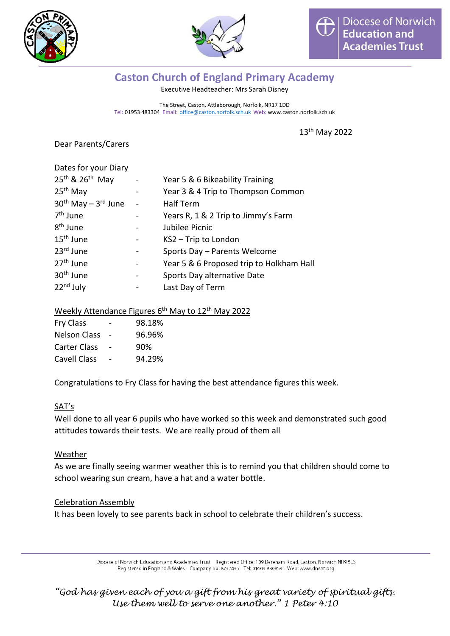



# **Caston Church of England Primary Academy**

Executive Headteacher: Mrs Sarah Disney

The Street, Caston, Attleborough, Norfolk, NR17 1DD Tel: 01953 483304 Email: [office@caston.norfolk.sch.uk](mailto:office@caston.norfolk.sch.uk) Web: www.caston.norfolk.sch.uk

13 th May 2022

Dear Parents/Carers

| Dates for your Diary                    |                                          |
|-----------------------------------------|------------------------------------------|
| 25 <sup>th</sup> & 26 <sup>th</sup> May | Year 5 & 6 Bikeability Training          |
| 25 <sup>th</sup> May                    | Year 3 & 4 Trip to Thompson Common       |
| $30th$ May – $3rd$ June                 | <b>Half Term</b>                         |
| 7 <sup>th</sup> June                    | Years R, 1 & 2 Trip to Jimmy's Farm      |
| 8 <sup>th</sup> June                    | Jubilee Picnic                           |
| $15th$ June                             | KS2 - Trip to London                     |
| 23rd June                               | Sports Day - Parents Welcome             |
| 27 <sup>th</sup> June                   | Year 5 & 6 Proposed trip to Holkham Hall |
| 30 <sup>th</sup> June                   | Sports Day alternative Date              |
| 22 <sup>nd</sup> July                   | Last Day of Term                         |

## Weekly Attendance Figures 6<sup>th</sup> May to 12<sup>th</sup> May 2022

| <b>Fry Class</b>    | 98.18% |
|---------------------|--------|
| <b>Nelson Class</b> | 96.96% |
| <b>Carter Class</b> | 90%    |
| Cavell Class        | 94.29% |

Congratulations to Fry Class for having the best attendance figures this week.

#### SAT's

Well done to all year 6 pupils who have worked so this week and demonstrated such good attitudes towards their tests. We are really proud of them all

#### Weather

As we are finally seeing warmer weather this is to remind you that children should come to school wearing sun cream, have a hat and a water bottle.

#### Celebration Assembly

It has been lovely to see parents back in school to celebrate their children's success.

Diocese of Norwich Education and Academies Trust Registered Office: 109 Dereham Road, Easton, Norwich NR9 5ES Registered in England & Wales Company no: 8737435 Tel: 01603 880853 Web: www.dneat.org

*"God has given each of you a gift from his great variety of spiritual gifts. Use them well to serve one another." 1 Peter 4:10*